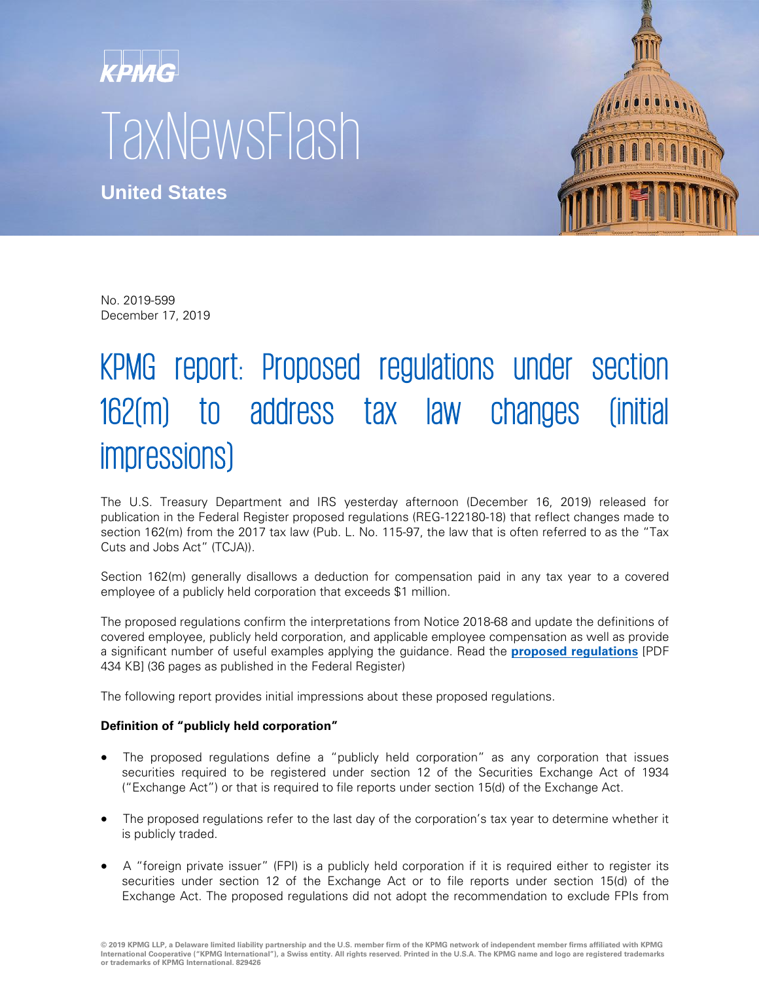# kpMG **TaxNewsFlash**

**United States**



No. 2019-599 December 17, 2019

## KPMG report: Proposed regulations under section 162(m) to address tax law changes (initial impressions)

The U.S. Treasury Department and IRS yesterday afternoon (December 16, 2019) released for publication in the Federal Register proposed regulations (REG-122180-18) that reflect changes made to section 162(m) from the 2017 tax law (Pub. L. No. 115-97, the law that is often referred to as the "Tax Cuts and Jobs Act" (TCJA)).

Section 162(m) generally disallows a deduction for compensation paid in any tax year to a covered employee of a publicly held corporation that exceeds \$1 million.

The proposed regulations confirm the interpretations from Notice 2018-68 and update the definitions of covered employee, publicly held corporation, and applicable employee compensation as well as provide a significant number of useful examples applying the guidance. Read the **[proposed regulations](https://www.govinfo.gov/content/pkg/FR-2019-12-20/pdf/2019-26116.pdf)** [PDF 434 KB] (36 pages as published in the Federal Register)

The following report provides initial impressions about these proposed regulations.

### **Definition of "publicly held corporation"**

- The proposed regulations define a "publicly held corporation" as any corporation that issues securities required to be registered under section 12 of the Securities Exchange Act of 1934 ("Exchange Act") or that is required to file reports under section 15(d) of the Exchange Act.
- The proposed regulations refer to the last day of the corporation's tax year to determine whether it is publicly traded.
- A "foreign private issuer" (FPI) is a publicly held corporation if it is required either to register its securities under section 12 of the Exchange Act or to file reports under section 15(d) of the Exchange Act. The proposed regulations did not adopt the recommendation to exclude FPIs from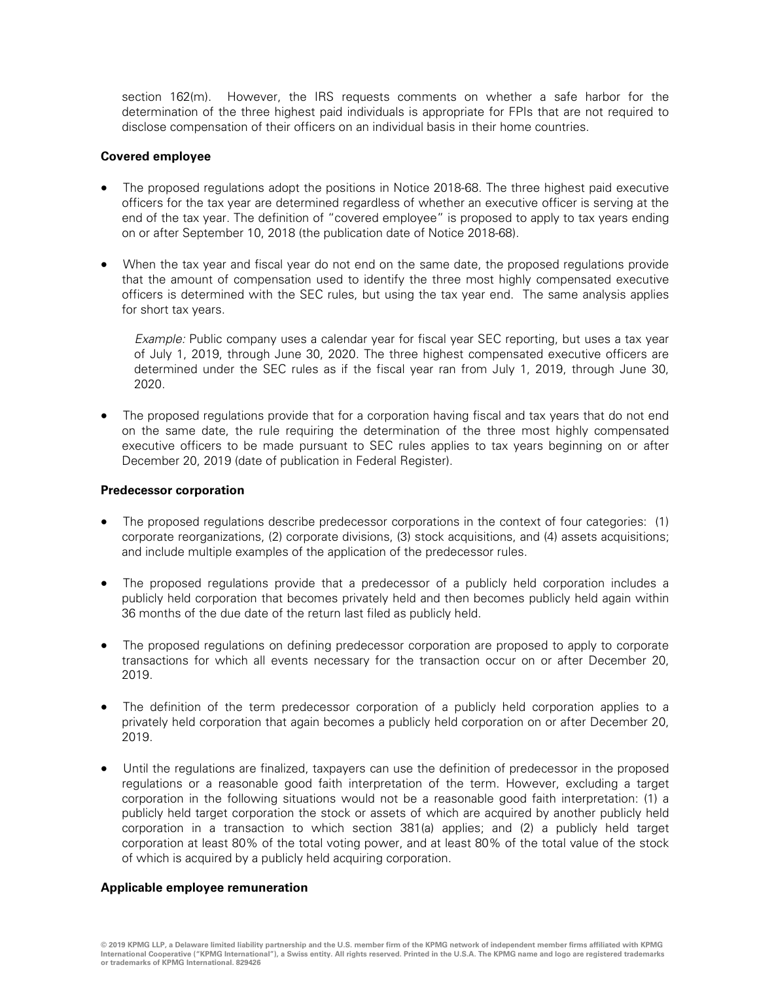section 162(m). However, the IRS requests comments on whether a safe harbor for the determination of the three highest paid individuals is appropriate for FPIs that are not required to disclose compensation of their officers on an individual basis in their home countries.

#### **Covered employee**

- The proposed regulations adopt the positions in Notice 2018-68. The three highest paid executive officers for the tax year are determined regardless of whether an executive officer is serving at the end of the tax year. The definition of "covered employee" is proposed to apply to tax years ending on or after September 10, 2018 (the publication date of Notice 2018-68).
- When the tax year and fiscal year do not end on the same date, the proposed regulations provide that the amount of compensation used to identify the three most highly compensated executive officers is determined with the SEC rules, but using the tax year end. The same analysis applies for short tax years.

Example: Public company uses a calendar year for fiscal year SEC reporting, but uses a tax year of July 1, 2019, through June 30, 2020. The three highest compensated executive officers are determined under the SEC rules as if the fiscal year ran from July 1, 2019, through June 30, 2020.

The proposed regulations provide that for a corporation having fiscal and tax years that do not end on the same date, the rule requiring the determination of the three most highly compensated executive officers to be made pursuant to SEC rules applies to tax years beginning on or after December 20, 2019 (date of publication in Federal Register).

#### **Predecessor corporation**

- The proposed regulations describe predecessor corporations in the context of four categories: (1) corporate reorganizations, (2) corporate divisions, (3) stock acquisitions, and (4) assets acquisitions; and include multiple examples of the application of the predecessor rules.
- The proposed regulations provide that a predecessor of a publicly held corporation includes a publicly held corporation that becomes privately held and then becomes publicly held again within 36 months of the due date of the return last filed as publicly held.
- The proposed regulations on defining predecessor corporation are proposed to apply to corporate transactions for which all events necessary for the transaction occur on or after December 20, 2019.
- The definition of the term predecessor corporation of a publicly held corporation applies to a privately held corporation that again becomes a publicly held corporation on or after December 20, 2019.
- Until the regulations are finalized, taxpayers can use the definition of predecessor in the proposed regulations or a reasonable good faith interpretation of the term. However, excluding a target corporation in the following situations would not be a reasonable good faith interpretation: (1) a publicly held target corporation the stock or assets of which are acquired by another publicly held corporation in a transaction to which section 381(a) applies; and (2) a publicly held target corporation at least 80% of the total voting power, and at least 80% of the total value of the stock of which is acquired by a publicly held acquiring corporation.

#### **Applicable employee remuneration**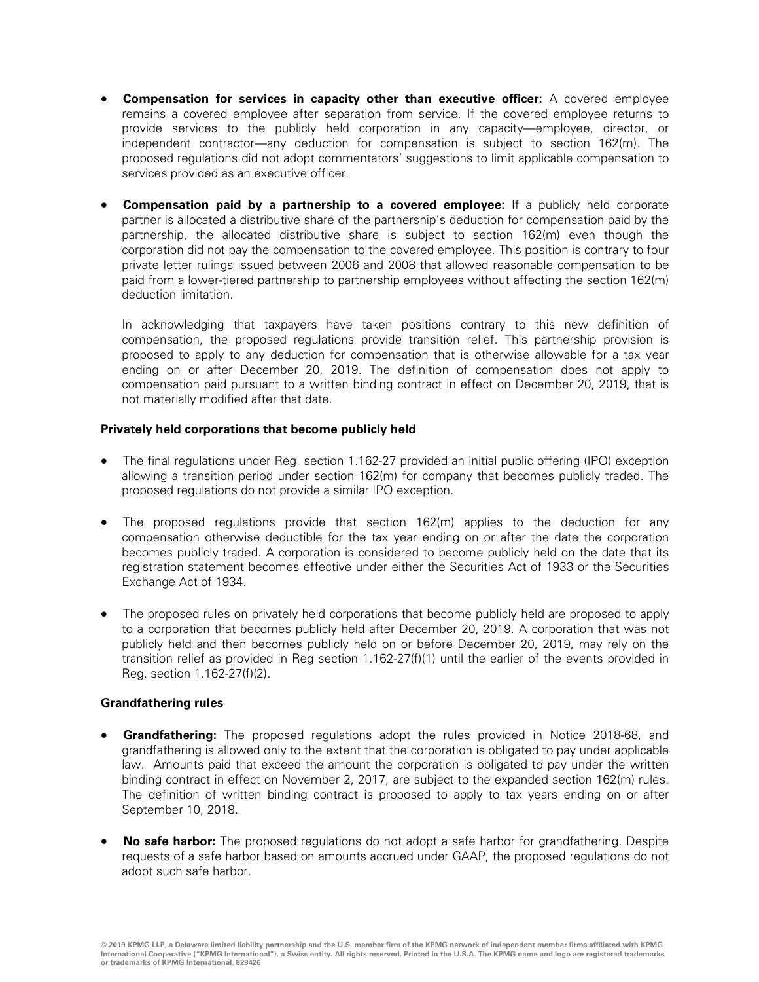- **Compensation for services in capacity other than executive officer:** A covered employee remains a covered employee after separation from service. If the covered employee returns to provide services to the publicly held corporation in any capacity—employee, director, or independent contractor—any deduction for compensation is subject to section 162(m). The proposed regulations did not adopt commentators' suggestions to limit applicable compensation to services provided as an executive officer.
- **Compensation paid by a partnership to a covered employee:** If a publicly held corporate partner is allocated a distributive share of the partnership's deduction for compensation paid by the partnership, the allocated distributive share is subject to section 162(m) even though the corporation did not pay the compensation to the covered employee. This position is contrary to four private letter rulings issued between 2006 and 2008 that allowed reasonable compensation to be paid from a lower-tiered partnership to partnership employees without affecting the section 162(m) deduction limitation.

In acknowledging that taxpayers have taken positions contrary to this new definition of compensation, the proposed regulations provide transition relief. This partnership provision is proposed to apply to any deduction for compensation that is otherwise allowable for a tax year ending on or after December 20, 2019. The definition of compensation does not apply to compensation paid pursuant to a written binding contract in effect on December 20, 2019, that is not materially modified after that date.

#### **Privately held corporations that become publicly held**

- The final regulations under Reg. section 1.162-27 provided an initial public offering (IPO) exception allowing a transition period under section 162(m) for company that becomes publicly traded. The proposed regulations do not provide a similar IPO exception.
- The proposed regulations provide that section  $162(m)$  applies to the deduction for any compensation otherwise deductible for the tax year ending on or after the date the corporation becomes publicly traded. A corporation is considered to become publicly held on the date that its registration statement becomes effective under either the Securities Act of 1933 or the Securities Exchange Act of 1934.
- The proposed rules on privately held corporations that become publicly held are proposed to apply to a corporation that becomes publicly held after December 20, 2019. A corporation that was not publicly held and then becomes publicly held on or before December 20, 2019, may rely on the transition relief as provided in Reg section 1.162-27(f)(1) until the earlier of the events provided in Reg. section 1.162-27(f)(2).

#### **Grandfathering rules**

- **Grandfathering:** The proposed regulations adopt the rules provided in Notice 2018-68, and grandfathering is allowed only to the extent that the corporation is obligated to pay under applicable law. Amounts paid that exceed the amount the corporation is obligated to pay under the written binding contract in effect on November 2, 2017, are subject to the expanded section 162(m) rules. The definition of written binding contract is proposed to apply to tax years ending on or after September 10, 2018.
- **No safe harbor:** The proposed regulations do not adopt a safe harbor for grandfathering. Despite requests of a safe harbor based on amounts accrued under GAAP, the proposed regulations do not adopt such safe harbor.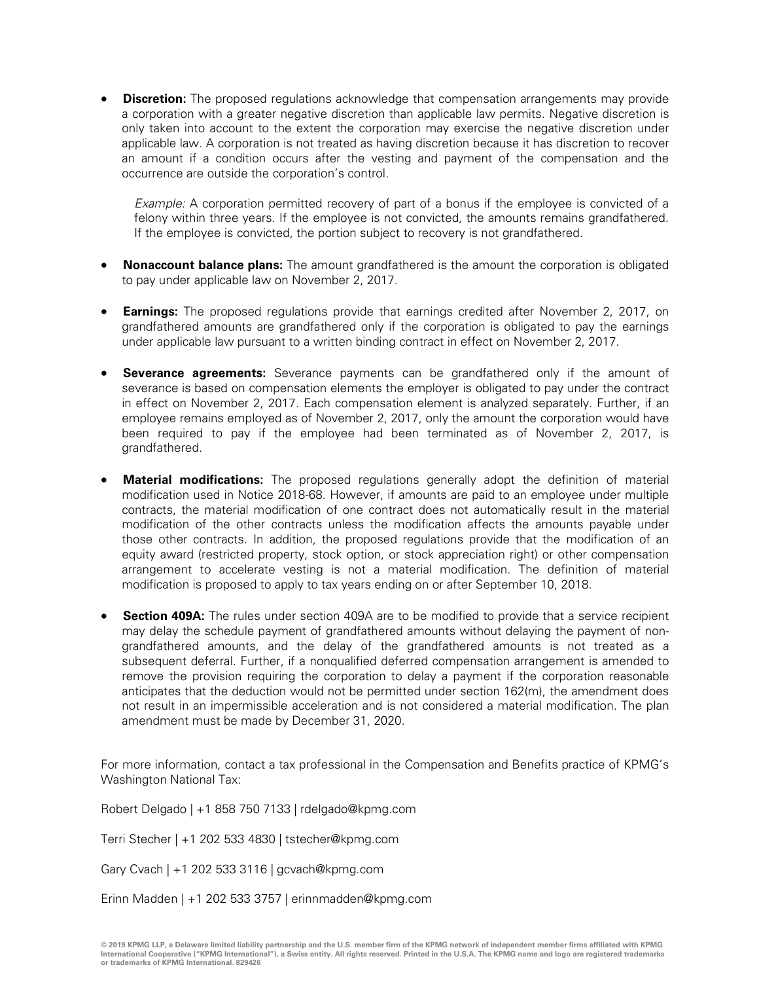**Discretion:** The proposed regulations acknowledge that compensation arrangements may provide a corporation with a greater negative discretion than applicable law permits. Negative discretion is only taken into account to the extent the corporation may exercise the negative discretion under applicable law. A corporation is not treated as having discretion because it has discretion to recover an amount if a condition occurs after the vesting and payment of the compensation and the occurrence are outside the corporation's control.

Example: A corporation permitted recovery of part of a bonus if the employee is convicted of a felony within three years. If the employee is not convicted, the amounts remains grandfathered. If the employee is convicted, the portion subject to recovery is not grandfathered.

- **Nonaccount balance plans:** The amount grandfathered is the amount the corporation is obligated to pay under applicable law on November 2, 2017.
- **Earnings:** The proposed regulations provide that earnings credited after November 2, 2017, on grandfathered amounts are grandfathered only if the corporation is obligated to pay the earnings under applicable law pursuant to a written binding contract in effect on November 2, 2017.
- **Severance agreements:** Severance payments can be grandfathered only if the amount of severance is based on compensation elements the employer is obligated to pay under the contract in effect on November 2, 2017. Each compensation element is analyzed separately. Further, if an employee remains employed as of November 2, 2017, only the amount the corporation would have been required to pay if the employee had been terminated as of November 2, 2017, is grandfathered.
- **Material modifications:** The proposed regulations generally adopt the definition of material modification used in Notice 2018-68. However, if amounts are paid to an employee under multiple contracts, the material modification of one contract does not automatically result in the material modification of the other contracts unless the modification affects the amounts payable under those other contracts. In addition, the proposed regulations provide that the modification of an equity award (restricted property, stock option, or stock appreciation right) or other compensation arrangement to accelerate vesting is not a material modification. The definition of material modification is proposed to apply to tax years ending on or after September 10, 2018.
- **Section 409A:** The rules under section 409A are to be modified to provide that a service recipient may delay the schedule payment of grandfathered amounts without delaying the payment of nongrandfathered amounts, and the delay of the grandfathered amounts is not treated as a subsequent deferral. Further, if a nonqualified deferred compensation arrangement is amended to remove the provision requiring the corporation to delay a payment if the corporation reasonable anticipates that the deduction would not be permitted under section 162(m), the amendment does not result in an impermissible acceleration and is not considered a material modification. The plan amendment must be made by December 31, 2020.

For more information, contact a tax professional in the Compensation and Benefits practice of KPMG's Washington National Tax:

Robert Delgado | +1 858 750 7133 | rdelgado@kpmg.com

Terri Stecher | +1 202 533 4830 | tstecher@kpmg.com

Gary Cvach | +1 202 533 3116 | gcvach@kpmg.com

Erinn Madden | +1 202 533 3757 | erinnmadden@kpmg.com